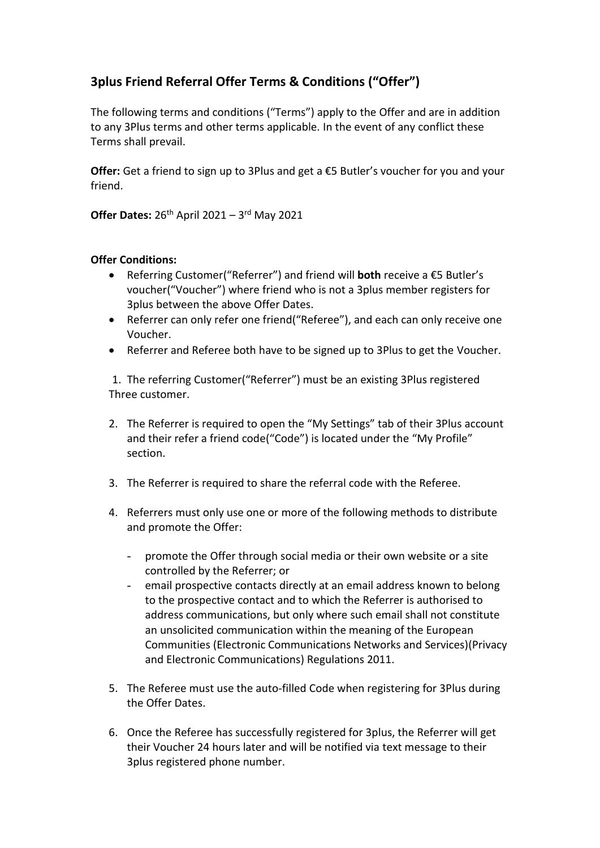## **3plus Friend Referral Offer Terms & Conditions ("Offer")**

The following terms and conditions ("Terms") apply to the Offer and are in addition to any 3Plus terms and other terms applicable. In the event of any conflict these Terms shall prevail.

**Offer:** Get a friend to sign up to 3Plus and get a €5 Butler's voucher for you and your friend.

**Offer Dates:** 26th April 2021 – 3 rd May 2021

## **Offer Conditions:**

- Referring Customer("Referrer") and friend will **both** receive a €5 Butler's voucher("Voucher") where friend who is not a 3plus member registers for 3plus between the above Offer Dates.
- Referrer can only refer one friend("Referee"), and each can only receive one Voucher.
- Referrer and Referee both have to be signed up to 3Plus to get the Voucher.

1. The referring Customer("Referrer") must be an existing 3Plus registered Three customer.

- 2. The Referrer is required to open the "My Settings" tab of their 3Plus account and their refer a friend code("Code") is located under the "My Profile" section.
- 3. The Referrer is required to share the referral code with the Referee.
- 4. Referrers must only use one or more of the following methods to distribute and promote the Offer:
	- promote the Offer through social media or their own website or a site controlled by the Referrer; or
	- email prospective contacts directly at an email address known to belong to the prospective contact and to which the Referrer is authorised to address communications, but only where such email shall not constitute an unsolicited communication within the meaning of the European Communities (Electronic Communications Networks and Services)(Privacy and Electronic Communications) Regulations 2011.
- 5. The Referee must use the auto-filled Code when registering for 3Plus during the Offer Dates.
- 6. Once the Referee has successfully registered for 3plus, the Referrer will get their Voucher 24 hours later and will be notified via text message to their 3plus registered phone number.